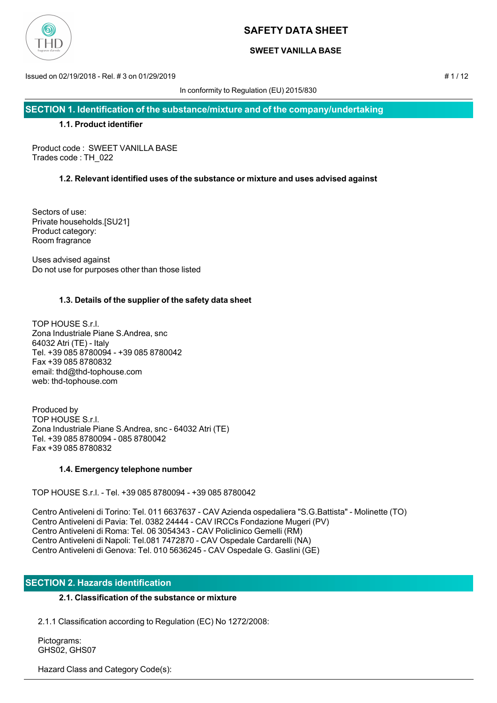

### **SWEET VANILLA BASE**

Issued on 02/19/2018 - Rel. # 3 on 01/29/2019 # 1 / 12

In conformity to Regulation (EU) 2015/830

**SECTION 1. Identification of the substance/mixture and of the company/undertaking**

### **1.1. Product identifier**

Product code : SWEET VANILLA BASE Trades code : TH\_022

## **1.2. Relevant identified uses of the substance or mixture and uses advised against**

Sectors of use: Private households.[SU21] Product category: Room fragrance

Uses advised against Do not use for purposes other than those listed

## **1.3. Details of the supplier of the safety data sheet**

TOP HOUSE S.r.l. Zona Industriale Piane S.Andrea, snc 64032 Atri (TE) - Italy Tel. +39 085 8780094 - +39 085 8780042 Fax +39 085 8780832 email: thd@thd-tophouse.com web: thd-tophouse.com

Produced by TOP HOUSE S.r.l. Zona Industriale Piane S.Andrea, snc - 64032 Atri (TE) Tel. +39 085 8780094 - 085 8780042 Fax +39 085 8780832

## **1.4. Emergency telephone number**

TOP HOUSE S.r.l. - Tel. +39 085 8780094 - +39 085 8780042

Centro Antiveleni di Torino: Tel. 011 6637637 - CAV Azienda ospedaliera "S.G.Battista" - Molinette (TO) Centro Antiveleni di Pavia: Tel. 0382 24444 - CAV IRCCs Fondazione Mugeri (PV) Centro Antiveleni di Roma: Tel. 06 3054343 - CAV Policlinico Gemelli (RM) Centro Antiveleni di Napoli: Tel.081 7472870 - CAV Ospedale Cardarelli (NA) Centro Antiveleni di Genova: Tel. 010 5636245 - CAV Ospedale G. Gaslini (GE)

## **SECTION 2. Hazards identification**

## **2.1. Classification of the substance or mixture**

2.1.1 Classification according to Regulation (EC) No 1272/2008:

 Pictograms: GHS02, GHS07

Hazard Class and Category Code(s):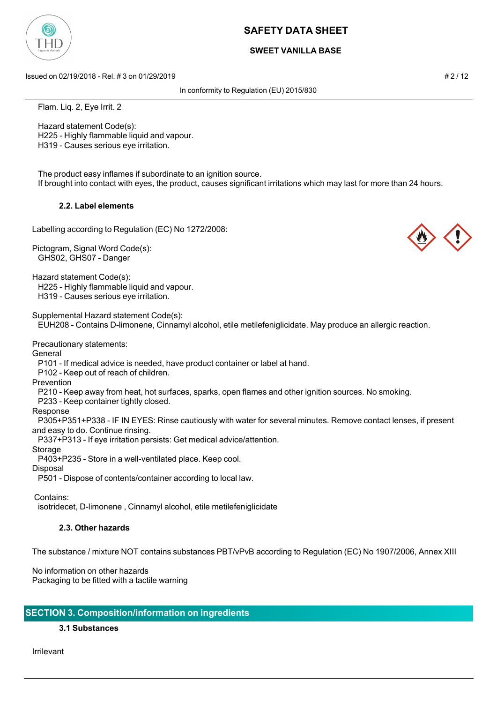### **SWEET VANILLA BASE**

Issued on 02/19/2018 - Rel. # 3 on 01/29/2019 **# 2 / 12** and a set of the set of the set of the set of the set of the set of the set of the set of the set of the set of the set of the set of the set of the set of the set o

In conformity to Regulation (EU) 2015/830

Flam. Liq. 2, Eye Irrit. 2

 Hazard statement Code(s): H225 - Highly flammable liquid and vapour. H319 - Causes serious eye irritation.

 The product easy inflames if subordinate to an ignition source. If brought into contact with eyes, the product, causes significant irritations which may last for more than 24 hours.

### **2.2. Label elements**

Labelling according to Regulation (EC) No 1272/2008:

Pictogram, Signal Word Code(s): GHS02, GHS07 - Danger

Hazard statement Code(s): H225 - Highly flammable liquid and vapour. H319 - Causes serious eye irritation.

Supplemental Hazard statement Code(s):

EUH208 - Contains D-limonene, Cinnamyl alcohol, etile metilefeniglicidate. May produce an allergic reaction.

Precautionary statements:

General

P101 - If medical advice is needed, have product container or label at hand.

P102 - Keep out of reach of children.

Prevention

P210 - Keep away from heat, hot surfaces, sparks, open flames and other ignition sources. No smoking.

P233 - Keep container tightly closed.

Response

 P305+P351+P338 - IF IN EYES: Rinse cautiously with water for several minutes. Remove contact lenses, if present and easy to do. Continue rinsing.

P337+P313 - If eye irritation persists: Get medical advice/attention.

Storage

P403+P235 - Store in a well-ventilated place. Keep cool.

Disposal

P501 - Dispose of contents/container according to local law.

Contains:

isotridecet, D-limonene , Cinnamyl alcohol, etile metilefeniglicidate

### **2.3. Other hazards**

The substance / mixture NOT contains substances PBT/vPvB according to Regulation (EC) No 1907/2006, Annex XIII

No information on other hazards Packaging to be fitted with a tactile warning

### **SECTION 3. Composition/information on ingredients**

**3.1 Substances**

Irrilevant



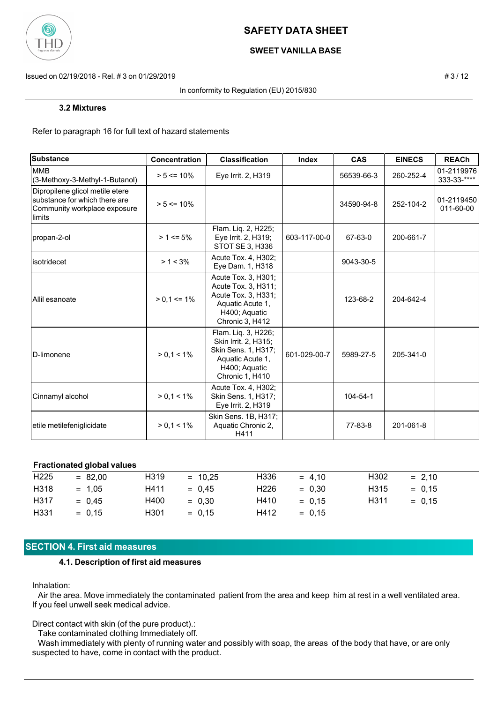

### **SWEET VANILLA BASE**

Issued on 02/19/2018 - Rel. # 3 on 01/29/2019 **# 3/12** and a set of the set of the set of the set of the set of the set of the set of the set of the set of the set of the set of the set of the set of the set of the set of

#### In conformity to Regulation (EU) 2015/830

#### **3.2 Mixtures**

Refer to paragraph 16 for full text of hazard statements

| Substance                                                                                                   | <b>Concentration</b> | <b>Classification</b>                                                                                                      | Index        | <b>CAS</b> | <b>EINECS</b> | <b>REACh</b>              |
|-------------------------------------------------------------------------------------------------------------|----------------------|----------------------------------------------------------------------------------------------------------------------------|--------------|------------|---------------|---------------------------|
| <b>MMB</b><br>(3-Methoxy-3-Methyl-1-Butanol)                                                                | $> 5 \le 10\%$       | Eye Irrit. 2, H319                                                                                                         |              | 56539-66-3 | 260-252-4     | 01-2119976<br>333-33-**** |
| Dipropilene glicol metile etere<br>substance for which there are<br>Community workplace exposure<br>llimits | $> 5 \le 10\%$       |                                                                                                                            |              | 34590-94-8 | 252-104-2     | 01-2119450<br>011-60-00   |
| propan-2-ol                                                                                                 | $> 1 \le 5\%$        | Flam. Liq. 2, H225;<br>Eye Irrit. 2, H319;<br>STOT SE 3, H336                                                              | 603-117-00-0 | 67-63-0    | 200-661-7     |                           |
| isotridecet                                                                                                 | $> 1 < 3\%$          | Acute Tox. 4, H302;<br>Eye Dam. 1, H318                                                                                    |              | 9043-30-5  |               |                           |
| Allil esanoate                                                                                              | $> 0.1 \le 1\%$      | Acute Tox. 3, H301;<br>Acute Tox. 3, H311;<br>Acute Tox. 3, H331;<br>Aquatic Acute 1,<br>H400; Aquatic<br>Chronic 3, H412  |              | 123-68-2   | 204-642-4     |                           |
| <b>ID-limonene</b>                                                                                          | $> 0, 1 < 1\%$       | Flam. Liq. 3, H226;<br>Skin Irrit. 2, H315;<br>Skin Sens. 1, H317;<br>Aquatic Acute 1,<br>H400; Aquatic<br>Chronic 1, H410 | 601-029-00-7 | 5989-27-5  | 205-341-0     |                           |
| Cinnamyl alcohol                                                                                            | $> 0.1 < 1\%$        | Acute Tox. 4, H302;<br>Skin Sens. 1, H317;<br>Eye Irrit. 2, H319                                                           |              | 104-54-1   |               |                           |
| etile metilefeniglicidate                                                                                   | $> 0.1 < 1\%$        | Skin Sens. 1B, H317;<br>Aquatic Chronic 2,<br>H411                                                                         |              | 77-83-8    | 201-061-8     |                           |

#### **Fractionated global values**

| H <sub>225</sub> | $= 82,00$ | H319             | $= 10.25$ | H336             | $= 4.10$ | H302              | $= 2.10$ |
|------------------|-----------|------------------|-----------|------------------|----------|-------------------|----------|
| H318             | $= 1.05$  | H411             | $= 0.45$  | H <sub>226</sub> | $= 0.30$ | H315              | $= 0.15$ |
| H317             | $= 0.45$  | H400             | $= 0.30$  | H410             | $= 0.15$ | H <sub>3</sub> 11 | $= 0.15$ |
| H331             | $= 0.15$  | H <sub>301</sub> | $= 0.15$  | H412             | $= 0.15$ |                   |          |

### **SECTION 4. First aid measures**

#### **4.1. Description of first aid measures**

Inhalation:

 Air the area. Move immediately the contaminated patient from the area and keep him at rest in a well ventilated area. If you feel unwell seek medical advice.

Direct contact with skin (of the pure product).:

Take contaminated clothing Immediately off.

 Wash immediately with plenty of running water and possibly with soap, the areas of the body that have, or are only suspected to have, come in contact with the product.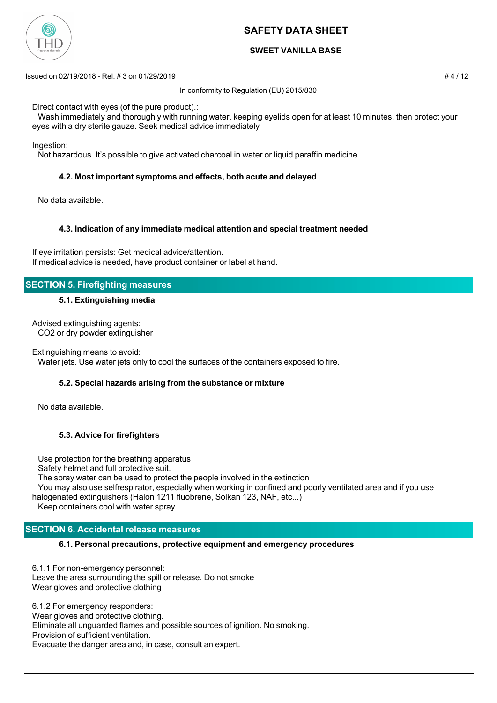

### **SWEET VANILLA BASE**

Issued on 02/19/2018 - Rel. # 3 on 01/29/2019 # 4 / 12

In conformity to Regulation (EU) 2015/830

Direct contact with eyes (of the pure product).:

 Wash immediately and thoroughly with running water, keeping eyelids open for at least 10 minutes, then protect your eyes with a dry sterile gauze. Seek medical advice immediately

Ingestion:

Not hazardous. It's possible to give activated charcoal in water or liquid paraffin medicine

### **4.2. Most important symptoms and effects, both acute and delayed**

No data available.

### **4.3. Indication of any immediate medical attention and special treatment needed**

If eye irritation persists: Get medical advice/attention. If medical advice is needed, have product container or label at hand.

## **SECTION 5. Firefighting measures**

#### **5.1. Extinguishing media**

Advised extinguishing agents: CO2 or dry powder extinguisher

Extinguishing means to avoid:

Water jets. Use water jets only to cool the surfaces of the containers exposed to fire.

### **5.2. Special hazards arising from the substance or mixture**

No data available.

### **5.3. Advice for firefighters**

Use protection for the breathing apparatus

Safety helmet and full protective suit.

The spray water can be used to protect the people involved in the extinction

 You may also use selfrespirator, especially when working in confined and poorly ventilated area and if you use halogenated extinguishers (Halon 1211 fluobrene, Solkan 123, NAF, etc...)

Keep containers cool with water spray

## **SECTION 6. Accidental release measures**

### **6.1. Personal precautions, protective equipment and emergency procedures**

6.1.1 For non-emergency personnel: Leave the area surrounding the spill or release. Do not smoke Wear gloves and protective clothing

6.1.2 For emergency responders: Wear gloves and protective clothing. Eliminate all unguarded flames and possible sources of ignition. No smoking. Provision of sufficient ventilation. Evacuate the danger area and, in case, consult an expert.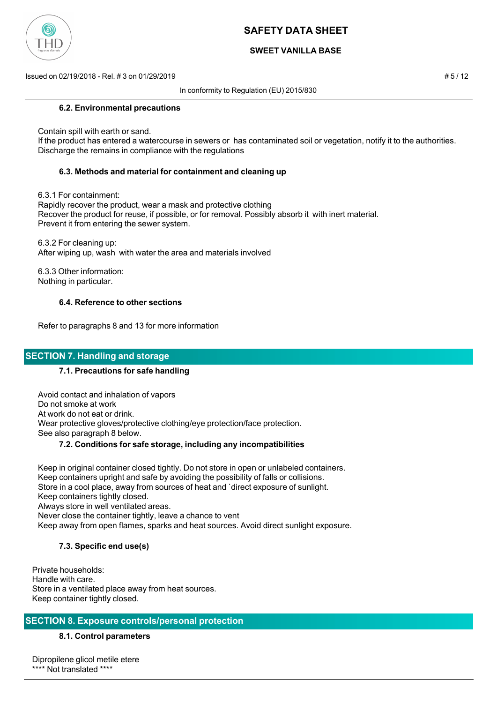

### **SWEET VANILLA BASE**

Issued on 02/19/2018 - Rel. # 3 on 01/29/2019 # 5 / 12

In conformity to Regulation (EU) 2015/830

#### **6.2. Environmental precautions**

Contain spill with earth or sand.

 If the product has entered a watercourse in sewers or has contaminated soil or vegetation, notify it to the authorities. Discharge the remains in compliance with the regulations

### **6.3. Methods and material for containment and cleaning up**

6.3.1 For containment:

 Rapidly recover the product, wear a mask and protective clothing Recover the product for reuse, if possible, or for removal. Possibly absorb it with inert material. Prevent it from entering the sewer system.

 6.3.2 For cleaning up: After wiping up, wash with water the area and materials involved

 6.3.3 Other information: Nothing in particular.

### **6.4. Reference to other sections**

Refer to paragraphs 8 and 13 for more information

### **SECTION 7. Handling and storage**

### **7.1. Precautions for safe handling**

 Avoid contact and inhalation of vapors Do not smoke at work At work do not eat or drink. Wear protective gloves/protective clothing/eye protection/face protection. See also paragraph 8 below.

### **7.2. Conditions for safe storage, including any incompatibilities**

 Keep in original container closed tightly. Do not store in open or unlabeled containers. Keep containers upright and safe by avoiding the possibility of falls or collisions. Store in a cool place, away from sources of heat and `direct exposure of sunlight. Keep containers tightly closed. Always store in well ventilated areas. Never close the container tightly, leave a chance to vent Keep away from open flames, sparks and heat sources. Avoid direct sunlight exposure.

### **7.3. Specific end use(s)**

Private households: Handle with care. Store in a ventilated place away from heat sources. Keep container tightly closed.

### **SECTION 8. Exposure controls/personal protection**

### **8.1. Control parameters**

Dipropilene glicol metile etere \*\*\*\* Not translated \*\*\*\*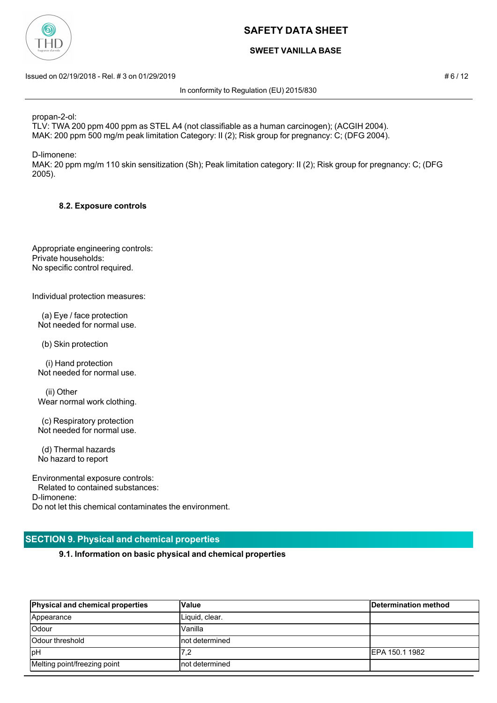

### **SWEET VANILLA BASE**

Issued on 02/19/2018 - Rel. # 3 on 01/29/2019 **# 6 / 12** and the state of the state of the state of the state of the state of the state of the state of the state of the state of the state of the state of the state of the s

In conformity to Regulation (EU) 2015/830

propan-2-ol:

TLV: TWA 200 ppm 400 ppm as STEL A4 (not classifiable as a human carcinogen); (ACGIH 2004). MAK: 200 ppm 500 mg/m peak limitation Category: II (2); Risk group for pregnancy: C; (DFG 2004).

D-limonene:

MAK: 20 ppm mg/m 110 skin sensitization (Sh); Peak limitation category: II (2); Risk group for pregnancy: C; (DFG 2005).

### **8.2. Exposure controls**

Appropriate engineering controls: Private households: No specific control required.

Individual protection measures:

 (a) Eye / face protection Not needed for normal use.

(b) Skin protection

 (i) Hand protection Not needed for normal use.

 (ii) Other Wear normal work clothing.

 (c) Respiratory protection Not needed for normal use.

 (d) Thermal hazards No hazard to report

Environmental exposure controls: Related to contained substances: D-limonene: Do not let this chemical contaminates the environment.

## **SECTION 9. Physical and chemical properties**

**9.1. Information on basic physical and chemical properties**

| <b>Physical and chemical properties</b> | Value           | Determination method |
|-----------------------------------------|-----------------|----------------------|
| Appearance                              | Liquid, clear.  |                      |
| Odour                                   | Vanilla         |                      |
| <b>Odour threshold</b>                  | Inot determined |                      |
| <b>I</b> pH                             | 7,2             | IEPA 150.1 1982      |
| Melting point/freezing point            | Inot determined |                      |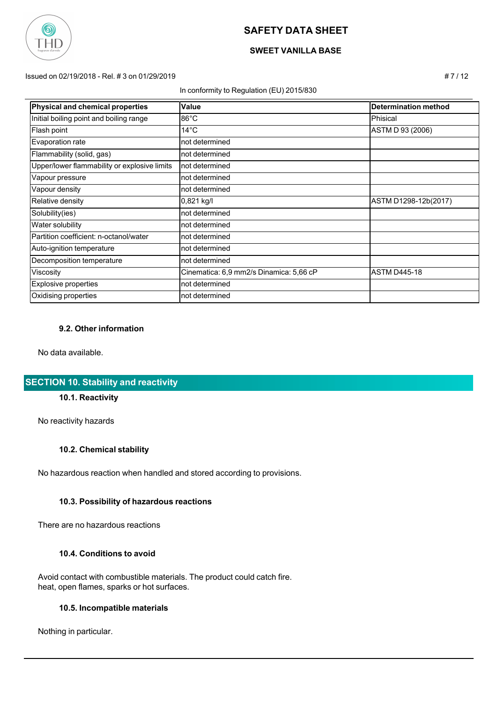

## **SWEET VANILLA BASE**

Issued on 02/19/2018 - Rel. # 3 on 01/29/2019 # 7 / 12

#### In conformity to Regulation (EU) 2015/830

| Physical and chemical properties             | Value                                   | Determination method |
|----------------------------------------------|-----------------------------------------|----------------------|
| Initial boiling point and boiling range      | $86^{\circ}$ C                          | Phisical             |
| Flash point                                  | $14^{\circ}$ C                          | ASTM D 93 (2006)     |
| Evaporation rate                             | not determined                          |                      |
| Flammability (solid, gas)                    | not determined                          |                      |
| Upper/lower flammability or explosive limits | not determined                          |                      |
| Vapour pressure                              | not determined                          |                      |
| Vapour density                               | not determined                          |                      |
| Relative density                             | 0,821 kg/l                              | ASTM D1298-12b(2017) |
| Solubility(ies)                              | not determined                          |                      |
| Water solubility                             | not determined                          |                      |
| Partition coefficient: n-octanol/water       | not determined                          |                      |
| Auto-ignition temperature                    | not determined                          |                      |
| Decomposition temperature                    | not determined                          |                      |
| Viscosity                                    | Cinematica: 6,9 mm2/s Dinamica: 5,66 cP | <b>ASTM D445-18</b>  |
| <b>Explosive properties</b>                  | not determined                          |                      |
| Oxidising properties                         | not determined                          |                      |

### **9.2. Other information**

No data available.

# **SECTION 10. Stability and reactivity**

### **10.1. Reactivity**

No reactivity hazards

### **10.2. Chemical stability**

No hazardous reaction when handled and stored according to provisions.

#### **10.3. Possibility of hazardous reactions**

There are no hazardous reactions

#### **10.4. Conditions to avoid**

 Avoid contact with combustible materials. The product could catch fire. heat, open flames, sparks or hot surfaces.

### **10.5. Incompatible materials**

Nothing in particular.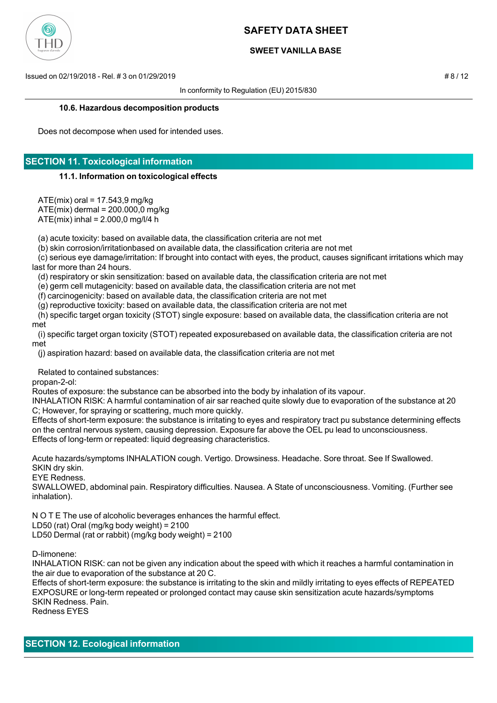

### **SWEET VANILLA BASE**

Issued on 02/19/2018 - Rel. # 3 on 01/29/2019 # 8 / 12

In conformity to Regulation (EU) 2015/830

#### **10.6. Hazardous decomposition products**

Does not decompose when used for intended uses.

## **SECTION 11. Toxicological information**

#### **11.1. Information on toxicological effects**

 $ATE(mix)$  oral = 17.543,9 mg/kg ATE(mix) dermal = 200.000,0 mg/kg

 $ATE(mix)$  inhal = 2.000,0 mg/l/4 h

(a) acute toxicity: based on available data, the classification criteria are not met

(b) skin corrosion/irritationbased on available data, the classification criteria are not met

 (c) serious eye damage/irritation: If brought into contact with eyes, the product, causes significant irritations which may last for more than 24 hours.

(d) respiratory or skin sensitization: based on available data, the classification criteria are not met

(e) germ cell mutagenicity: based on available data, the classification criteria are not met

(f) carcinogenicity: based on available data, the classification criteria are not met

(g) reproductive toxicity: based on available data, the classification criteria are not met

 (h) specific target organ toxicity (STOT) single exposure: based on available data, the classification criteria are not met

 (i) specific target organ toxicity (STOT) repeated exposurebased on available data, the classification criteria are not met

(j) aspiration hazard: based on available data, the classification criteria are not met

Related to contained substances:

propan-2-ol:

Routes of exposure: the substance can be absorbed into the body by inhalation of its vapour.

INHALATION RISK: A harmful contamination of air sar reached quite slowly due to evaporation of the substance at 20 C; However, for spraying or scattering, much more quickly.

Effects of short-term exposure: the substance is irritating to eyes and respiratory tract pu substance determining effects on the central nervous system, causing depression. Exposure far above the OEL pu lead to unconsciousness. Effects of long-term or repeated: liquid degreasing characteristics.

Acute hazards/symptoms INHALATION cough. Vertigo. Drowsiness. Headache. Sore throat. See If Swallowed. SKIN dry skin.

EYE Redness.

SWALLOWED, abdominal pain. Respiratory difficulties. Nausea. A State of unconsciousness. Vomiting. (Further see inhalation).

N O T E The use of alcoholic beverages enhances the harmful effect.

LD50 (rat) Oral (mg/kg body weight) = 2100 LD50 Dermal (rat or rabbit) (mg/kg body weight) = 2100

D-limonene:

INHALATION RISK: can not be given any indication about the speed with which it reaches a harmful contamination in the air due to evaporation of the substance at 20 C.

Effects of short-term exposure: the substance is irritating to the skin and mildly irritating to eyes effects of REPEATED EXPOSURE or long-term repeated or prolonged contact may cause skin sensitization acute hazards/symptoms SKIN Redness. Pain.

Redness EYES

**SECTION 12. Ecological information**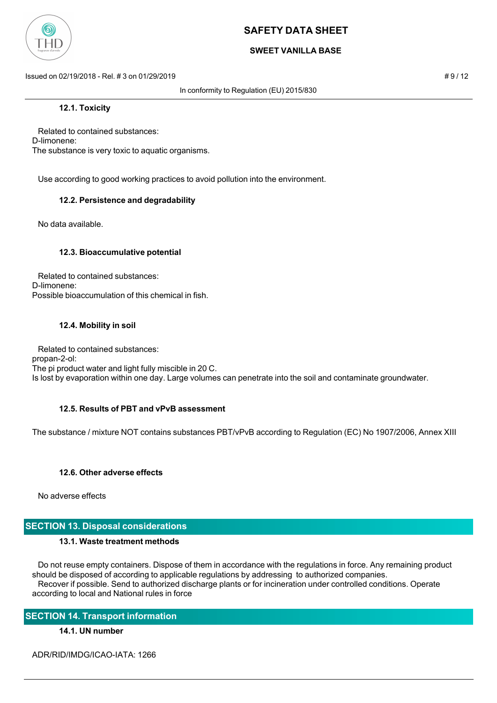

### **SWEET VANILLA BASE**

Issued on 02/19/2018 - Rel. # 3 on 01/29/2019 **# 9 / 12** and a set of the set of the set of the set of the set of the set of the set of the set of the set of the set of the set of the set of the set of the set of the set o

In conformity to Regulation (EU) 2015/830

### **12.1. Toxicity**

 Related to contained substances: D-limonene: The substance is very toxic to aquatic organisms.

Use according to good working practices to avoid pollution into the environment.

### **12.2. Persistence and degradability**

No data available.

### **12.3. Bioaccumulative potential**

 Related to contained substances: D-limonene: Possible bioaccumulation of this chemical in fish.

#### **12.4. Mobility in soil**

 Related to contained substances: propan-2-ol: The pi product water and light fully miscible in 20 C. Is lost by evaporation within one day. Large volumes can penetrate into the soil and contaminate groundwater.

### **12.5. Results of PBT and vPvB assessment**

The substance / mixture NOT contains substances PBT/vPvB according to Regulation (EC) No 1907/2006, Annex XIII

### **12.6. Other adverse effects**

No adverse effects

### **SECTION 13. Disposal considerations**

#### **13.1. Waste treatment methods**

 Do not reuse empty containers. Dispose of them in accordance with the regulations in force. Any remaining product should be disposed of according to applicable regulations by addressing to authorized companies. Recover if possible. Send to authorized discharge plants or for incineration under controlled conditions. Operate according to local and National rules in force

### **SECTION 14. Transport information**

### **14.1. UN number**

ADR/RID/IMDG/ICAO-IATA: 1266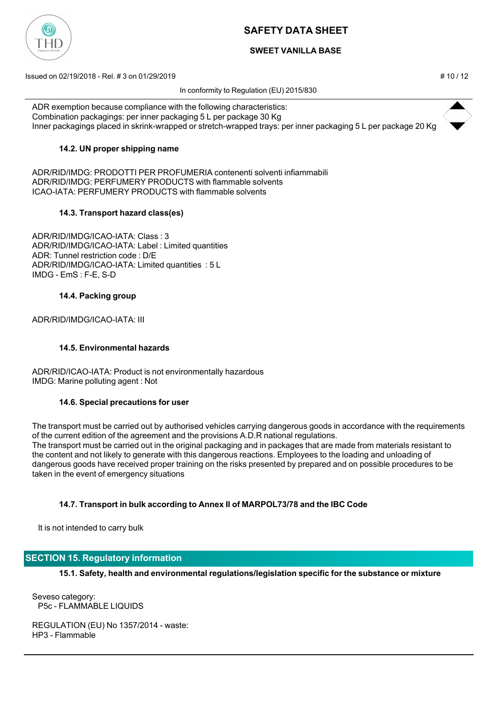

## **SWEET VANILLA BASE**

Issued on 02/19/2018 - Rel. # 3 on 01/29/2019 # 10 / 12

In conformity to Regulation (EU) 2015/830

ADR exemption because compliance with the following characteristics: Combination packagings: per inner packaging 5 L per package 30 Kg Inner packagings placed in skrink-wrapped or stretch-wrapped trays: per inner packaging 5 L per package 20 Kg

### **14.2. UN proper shipping name**

ADR/RID/IMDG: PRODOTTI PER PROFUMERIA contenenti solventi infiammabili ADR/RID/IMDG: PERFUMERY PRODUCTS with flammable solvents ICAO-IATA: PERFUMERY PRODUCTS with flammable solvents

### **14.3. Transport hazard class(es)**

ADR/RID/IMDG/ICAO-IATA: Class : 3 ADR/RID/IMDG/ICAO-IATA: Label : Limited quantities ADR: Tunnel restriction code : D/E ADR/RID/IMDG/ICAO-IATA: Limited quantities : 5 L IMDG - EmS : F-E, S-D

### **14.4. Packing group**

ADR/RID/IMDG/ICAO-IATA: III

### **14.5. Environmental hazards**

ADR/RID/ICAO-IATA: Product is not environmentally hazardous IMDG: Marine polluting agent : Not

### **14.6. Special precautions for user**

The transport must be carried out by authorised vehicles carrying dangerous goods in accordance with the requirements of the current edition of the agreement and the provisions A.D.R national regulations. The transport must be carried out in the original packaging and in packages that are made from materials resistant to the content and not likely to generate with this dangerous reactions. Employees to the loading and unloading of dangerous goods have received proper training on the risks presented by prepared and on possible procedures to be taken in the event of emergency situations

## **14.7. Transport in bulk according to Annex II of MARPOL73/78 and the IBC Code**

It is not intended to carry bulk

## **SECTION 15. Regulatory information**

**15.1. Safety, health and environmental regulations/legislation specific for the substance or mixture**

Seveso category: P5c - FLAMMABLE LIQUIDS

REGULATION (EU) No 1357/2014 - waste: HP3 - Flammable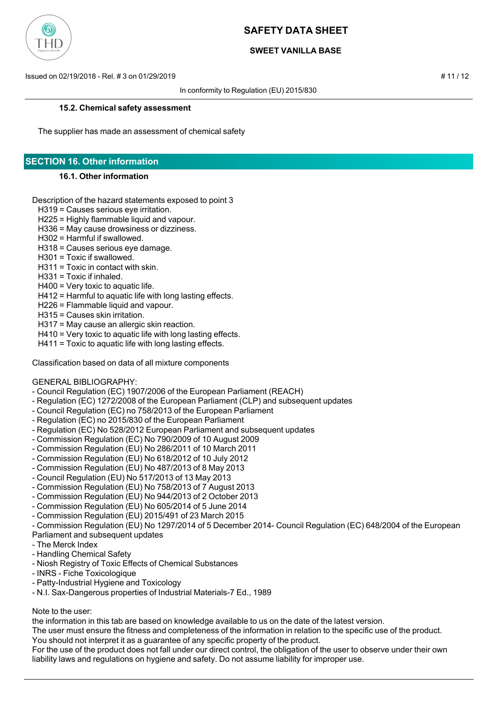

### **SWEET VANILLA BASE**

Issued on 02/19/2018 - Rel. # 3 on 01/29/2019 # 11 / 12

In conformity to Regulation (EU) 2015/830

#### **15.2. Chemical safety assessment**

The supplier has made an assessment of chemical safety

# **SECTION 16. Other information**

#### **16.1. Other information**

Description of the hazard statements exposed to point 3

- H319 = Causes serious eye irritation.
- H225 = Highly flammable liquid and vapour.
- H336 = May cause drowsiness or dizziness.
- H302 = Harmful if swallowed.
- H318 = Causes serious eye damage.
- H301 = Toxic if swallowed.
- H311 = Toxic in contact with skin.
- H331 = Toxic if inhaled.
- H400 = Very toxic to aquatic life.
- H412 = Harmful to aquatic life with long lasting effects.
- H226 = Flammable liquid and vapour.
- H315 = Causes skin irritation.
- H317 = May cause an allergic skin reaction.
- H410 = Very toxic to aquatic life with long lasting effects.
- H411 = Toxic to aquatic life with long lasting effects.

Classification based on data of all mixture components

#### GENERAL BIBLIOGRAPHY:

- Council Regulation (EC) 1907/2006 of the European Parliament (REACH)
- Regulation (EC) 1272/2008 of the European Parliament (CLP) and subsequent updates
- Council Regulation (EC) no 758/2013 of the European Parliament
- Regulation (EC) no 2015/830 of the European Parliament
- Regulation (EC) No 528/2012 European Parliament and subsequent updates
- Commission Regulation (EC) No 790/2009 of 10 August 2009
- Commission Regulation (EU) No 286/2011 of 10 March 2011
- Commission Regulation (EU) No 618/2012 of 10 July 2012
- Commission Regulation (EU) No 487/2013 of 8 May 2013
- Council Regulation (EU) No 517/2013 of 13 May 2013
- Commission Regulation (EU) No 758/2013 of 7 August 2013
- Commission Regulation (EU) No 944/2013 of 2 October 2013
- Commission Regulation (EU) No 605/2014 of 5 June 2014
- Commission Regulation (EU) 2015/491 of 23 March 2015
- Commission Regulation (EU) No 1297/2014 of 5 December 2014- Council Regulation (EC) 648/2004 of the European

### Parliament and subsequent updates

- The Merck Index
- Handling Chemical Safety
- Niosh Registry of Toxic Effects of Chemical Substances
- INRS Fiche Toxicologique
- Patty-Industrial Hygiene and Toxicology
- N.I. Sax-Dangerous properties of Industrial Materials-7 Ed., 1989

## Note to the user:

the information in this tab are based on knowledge available to us on the date of the latest version.

The user must ensure the fitness and completeness of the information in relation to the specific use of the product.

You should not interpret it as a guarantee of any specific property of the product.

For the use of the product does not fall under our direct control, the obligation of the user to observe under their own liability laws and regulations on hygiene and safety. Do not assume liability for improper use.